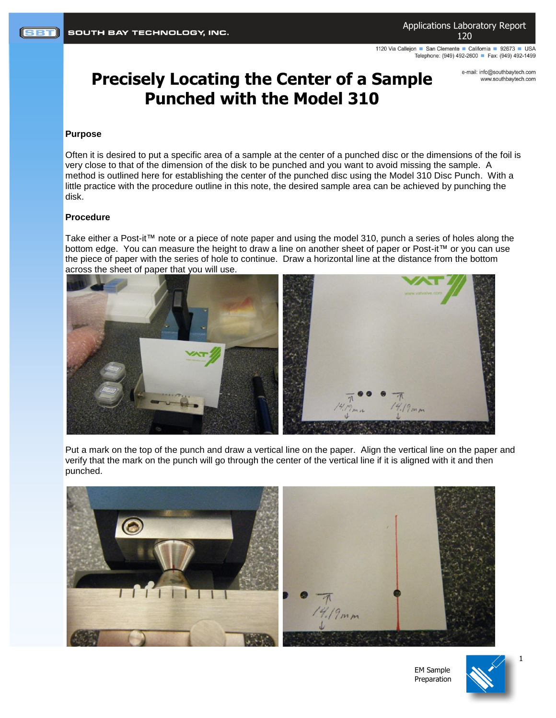1120 Via Calleion ■ San Clemente ■ California ■ 92673 ■ USA Telephone: (949) 492-2600 Fax: (949) 492-1499

## **Precisely Locating the Center of a Sample Punched with the Model 310**

e-mail: info@southbaytech.com www.southbaytech.com

## **Purpose**

Often it is desired to put a specific area of a sample at the center of a punched disc or the dimensions of the foil is very close to that of the dimension of the disk to be punched and you want to avoid missing the sample. A method is outlined here for establishing the center of the punched disc using the Model 310 Disc Punch. With a little practice with the procedure outline in this note, the desired sample area can be achieved by punching the disk.

## **Procedure**

Take either a Post-it™ note or a piece of note paper and using the model 310, punch a series of holes along the bottom edge. You can measure the height to draw a line on another sheet of paper or Post-it™ or you can use the piece of paper with the series of hole to continue. Draw a horizontal line at the distance from the bottom across the sheet of paper that you will use.



Put a mark on the top of the punch and draw a vertical line on the paper. Align the vertical line on the paper and verify that the mark on the punch will go through the center of the vertical line if it is aligned with it and then punched.



EM Sample Preparation